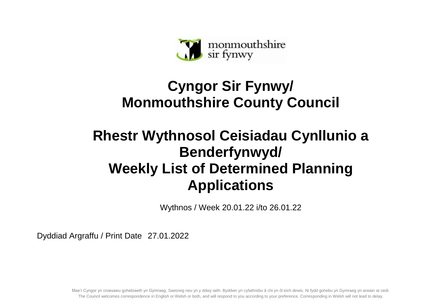

## **Cyngor Sir Fynwy/ Monmouthshire County Council**

## **Rhestr Wythnosol Ceisiadau Cynllunio a Benderfynwyd/ Weekly List of Determined Planning Applications**

Wythnos / Week 20.01.22 i/to 26.01.22

Dyddiad Argraffu / Print Date 27.01.2022

Mae'r Cyngor yn croesawu gohebiaeth yn Gymraeg, Saesneg neu yn y ddwy iaith. Byddwn yn cyfathrebu â chi yn ôl eich dewis. Ni fydd gohebu yn Gymraeg yn arwain at oedi. The Council welcomes correspondence in English or Welsh or both, and will respond to you according to your preference. Corresponding in Welsh will not lead to delay.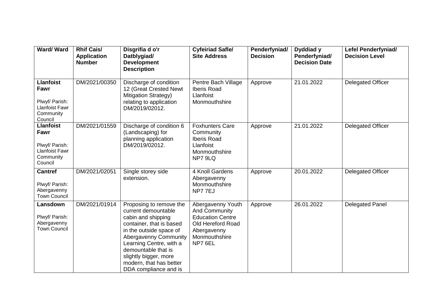| Ward/Ward                                                                                   | <b>Rhif Cais/</b><br><b>Application</b><br><b>Number</b> | Disgrifia d o'r<br>Datblygiad/<br><b>Development</b><br><b>Description</b>                                                                                                                                                                                                          | <b>Cyfeiriad Safle/</b><br><b>Site Address</b>                                                                                | Penderfyniad/<br><b>Decision</b> | Dyddiad y<br>Penderfyniad/<br><b>Decision Date</b> | <b>Lefel Penderfyniad/</b><br><b>Decision Level</b> |
|---------------------------------------------------------------------------------------------|----------------------------------------------------------|-------------------------------------------------------------------------------------------------------------------------------------------------------------------------------------------------------------------------------------------------------------------------------------|-------------------------------------------------------------------------------------------------------------------------------|----------------------------------|----------------------------------------------------|-----------------------------------------------------|
| <b>Llanfoist</b><br>Fawr<br>Plwyf/ Parish:<br><b>Llanfoist Fawr</b><br>Community<br>Council | DM/2021/00350                                            | Discharge of condition<br>12 (Great Crested Newt<br><b>Mitigation Strategy)</b><br>relating to application<br>DM/2019/02012.                                                                                                                                                        | Pentre Bach Village<br><b>Iberis Road</b><br>Llanfoist<br>Monmouthshire                                                       | Approve                          | 21.01.2022                                         | <b>Delegated Officer</b>                            |
| <b>Llanfoist</b><br>Fawr<br>Plwyf/ Parish:<br><b>Llanfoist Fawr</b><br>Community<br>Council | DM/2021/01559                                            | Discharge of condition 6<br>(Landscaping) for<br>planning application<br>DM/2019/02012.                                                                                                                                                                                             | <b>Foxhunters Care</b><br>Community<br><b>Iberis Road</b><br>Llanfoist<br>Monmouthshire<br>NP7 9LQ                            | Approve                          | 21.01.2022                                         | <b>Delegated Officer</b>                            |
| <b>Cantref</b><br>Plwyf/ Parish:<br>Abergavenny<br><b>Town Council</b>                      | DM/2021/02051                                            | Single storey side<br>extension.                                                                                                                                                                                                                                                    | 4 Knoll Gardens<br>Abergavenny<br>Monmouthshire<br>NP77EJ                                                                     | Approve                          | 20.01.2022                                         | Delegated Officer                                   |
| Lansdown<br>Plwyf/ Parish:<br>Abergavenny<br><b>Town Council</b>                            | DM/2021/01914                                            | Proposing to remove the<br>current demountable<br>cabin and shipping<br>container, that is based<br>in the outside space of<br>Abergavenny Community<br>Learning Centre, with a<br>demountable that is<br>slightly bigger, more<br>modern, that has better<br>DDA compliance and is | Abergavenny Youth<br>And Community<br><b>Education Centre</b><br>Old Hereford Road<br>Abergavenny<br>Monmouthshire<br>NP7 6EL | Approve                          | 26.01.2022                                         | <b>Delegated Panel</b>                              |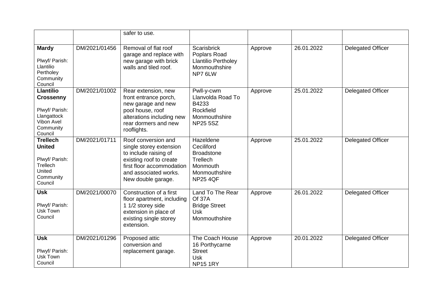|                                                                                                             |               | safer to use.                                                                                                                                                                  |                                                                                                          |         |            |                          |
|-------------------------------------------------------------------------------------------------------------|---------------|--------------------------------------------------------------------------------------------------------------------------------------------------------------------------------|----------------------------------------------------------------------------------------------------------|---------|------------|--------------------------|
| <b>Mardy</b><br>Plwyf/ Parish:<br>Llantilio<br>Pertholey<br>Community<br>Council                            | DM/2021/01456 | Removal of flat roof<br>garage and replace with<br>new garage with brick<br>walls and tiled roof.                                                                              | Scarisbrick<br>Poplars Road<br><b>Llantilio Pertholey</b><br>Monmouthshire<br>NP7 6LW                    | Approve | 26.01.2022 | <b>Delegated Officer</b> |
| <b>Llantilio</b><br><b>Crossenny</b><br>Plwyf/ Parish:<br>Llangattock<br>Vibon Avel<br>Community<br>Council | DM/2021/01002 | Rear extension, new<br>front entrance porch,<br>new garage and new<br>pool house, roof<br>alterations including new<br>rear dormers and new<br>rooflights.                     | Pwll-y-cwm<br>Llanvolda Road To<br>B4233<br>Rockfield<br>Monmouthshire<br><b>NP25 5SZ</b>                | Approve | 25.01.2022 | <b>Delegated Officer</b> |
| <b>Trellech</b><br><b>United</b><br>Plwyf/ Parish:<br>Trellech<br>United<br>Community<br>Council            | DM/2021/01711 | Roof conversion and<br>single storey extension<br>to include raising of<br>existing roof to create<br>first floor accommodation<br>and associated works.<br>New double garage. | Hazeldene<br>Ceciliford<br><b>Broadstone</b><br>Trellech<br>Monmouth<br>Monmouthshire<br><b>NP25 4QF</b> | Approve | 25.01.2022 | <b>Delegated Officer</b> |
| <b>Usk</b><br>Plwyf/ Parish:<br>Usk Town<br>Council                                                         | DM/2021/00070 | Construction of a first<br>floor apartment, including<br>1 1/2 storey side<br>extension in place of<br>existing single storey<br>extension.                                    | Land To The Rear<br><b>Of 37A</b><br><b>Bridge Street</b><br><b>Usk</b><br>Monmouthshire                 | Approve | 26.01.2022 | <b>Delegated Officer</b> |
| <b>Usk</b><br>Plwyf/ Parish:<br>Usk Town<br>Council                                                         | DM/2021/01296 | Proposed attic<br>conversion and<br>replacement garage.                                                                                                                        | The Coach House<br>16 Porthycarne<br><b>Street</b><br><b>Usk</b><br><b>NP15 1RY</b>                      | Approve | 20.01.2022 | <b>Delegated Officer</b> |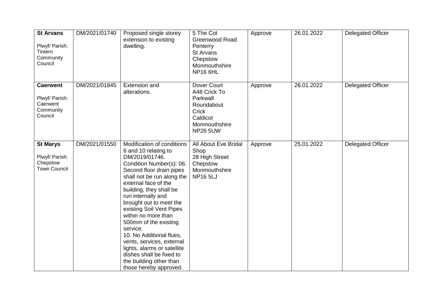| <b>St Arvans</b><br>Plwyf/ Parish:<br>Tintern<br>Community<br>Council | DM/2021/01740 | Proposed single storey<br>extension to existing<br>dwelling.                                                                                                                                                                                                                                                                                                                                                                                                                                                                    | 5 The Cot<br>Greenwood Road<br>Penterry<br><b>St Arvans</b><br>Chepstow<br>Monmouthshire<br><b>NP16 6HL</b>    | Approve | 26.01.2022 | <b>Delegated Officer</b> |
|-----------------------------------------------------------------------|---------------|---------------------------------------------------------------------------------------------------------------------------------------------------------------------------------------------------------------------------------------------------------------------------------------------------------------------------------------------------------------------------------------------------------------------------------------------------------------------------------------------------------------------------------|----------------------------------------------------------------------------------------------------------------|---------|------------|--------------------------|
| <b>Caerwent</b><br>Plwyf/ Parish:<br>Caerwent<br>Community<br>Council | DM/2021/01845 | <b>Extension and</b><br>alterations.                                                                                                                                                                                                                                                                                                                                                                                                                                                                                            | Dover Court<br>A48 Crick To<br>Parkwall<br>Roundabout<br>Crick<br>Caldicot<br>Monmouthshire<br><b>NP26 5UW</b> | Approve | 26.01.2022 | <b>Delegated Officer</b> |
| <b>St Marys</b><br>Plwyf/ Parish:<br>Chepstow<br><b>Town Council</b>  | DM/2021/01550 | Modification of conditions<br>6 and 10 relating to<br>DM/2019/01746.<br>Condition Number(s): 06.<br>Second floor drain pipes<br>shall not be run along the<br>external face of the<br>building, they shall be<br>run internally and<br>brought out to meet the<br>existing Soil Vent Pipes<br>within no more than<br>500mm of the existing<br>service.<br>10. No Additional flues,<br>vents, services, external<br>lights, alarms or satellite<br>dishes shall be fixed to<br>the building other than<br>those hereby approved. | All About Eve Bridal<br>Shop<br>28 High Street<br>Chepstow<br>Monmouthshire<br><b>NP165LJ</b>                  | Approve | 25.01.2022 | Delegated Officer        |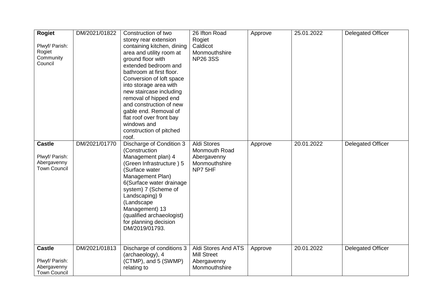| Rogiet<br>Plwyf/ Parish:<br>Rogiet<br>Community<br>Council            | DM/2021/01822 | Construction of two<br>storey rear extension<br>containing kitchen, dining<br>area and utility room at<br>ground floor with<br>extended bedroom and<br>bathroom at first floor.<br>Conversion of loft space<br>into storage area with<br>new staircase including<br>removal of hipped end<br>and construction of new<br>gable end. Removal of<br>flat roof over front bay<br>windows and<br>construction of pitched<br>roof. | 26 Ifton Road<br>Rogiet<br>Caldicot<br>Monmouthshire<br><b>NP26 3SS</b>        | Approve | 25.01.2022 | <b>Delegated Officer</b> |
|-----------------------------------------------------------------------|---------------|------------------------------------------------------------------------------------------------------------------------------------------------------------------------------------------------------------------------------------------------------------------------------------------------------------------------------------------------------------------------------------------------------------------------------|--------------------------------------------------------------------------------|---------|------------|--------------------------|
| <b>Castle</b><br>Plwyf/ Parish:<br>Abergavenny<br><b>Town Council</b> | DM/2021/01770 | Discharge of Condition 3<br>(Construction<br>Management plan) 4<br>(Green Infrastructure) 5<br>(Surface water<br>Management Plan)<br>6(Surface water drainage<br>system) 7 (Scheme of<br>Landscaping) 9<br>(Landscape<br>Management) 13<br>(qualified archaeologist)<br>for planning decision<br>DM/2019/01793.                                                                                                              | <b>Aldi Stores</b><br>Monmouth Road<br>Abergavenny<br>Monmouthshire<br>NP7 5HF | Approve | 20.01.2022 | <b>Delegated Officer</b> |
| <b>Castle</b><br>Plwyf/ Parish:<br>Abergavenny<br><b>Town Council</b> | DM/2021/01813 | Discharge of conditions 3<br>(archaeology), 4<br>(CTMP), and 5 (SWMP)<br>relating to                                                                                                                                                                                                                                                                                                                                         | Aldi Stores And ATS<br><b>Mill Street</b><br>Abergavenny<br>Monmouthshire      | Approve | 20.01.2022 | <b>Delegated Officer</b> |